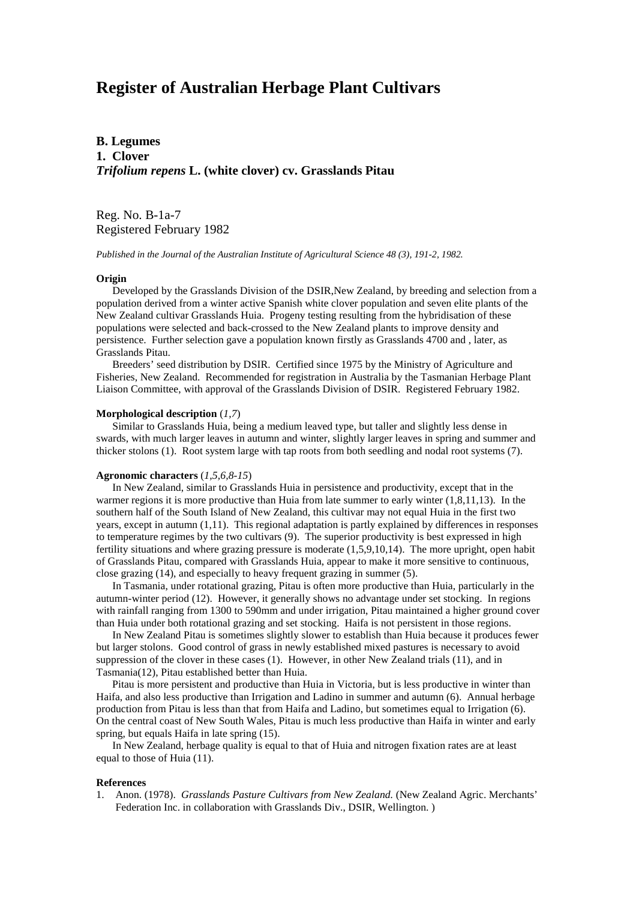# **Register of Australian Herbage Plant Cultivars**

**B. Legumes 1. Clover** *Trifolium repens* **L. (white clover) cv. Grasslands Pitau**

Reg. No. B-1a-7 Registered February 1982

*Published in the Journal of the Australian Institute of Agricultural Science 48 (3), 191-2, 1982.*

#### **Origin**

Developed by the Grasslands Division of the DSIR,New Zealand, by breeding and selection from a population derived from a winter active Spanish white clover population and seven elite plants of the New Zealand cultivar Grasslands Huia. Progeny testing resulting from the hybridisation of these populations were selected and back-crossed to the New Zealand plants to improve density and persistence. Further selection gave a population known firstly as Grasslands 4700 and , later, as Grasslands Pitau.

 Breeders' seed distribution by DSIR. Certified since 1975 by the Ministry of Agriculture and Fisheries, New Zealand. Recommended for registration in Australia by the Tasmanian Herbage Plant Liaison Committee, with approval of the Grasslands Division of DSIR. Registered February 1982.

## **Morphological description** (*1,7*)

 Similar to Grasslands Huia, being a medium leaved type, but taller and slightly less dense in swards, with much larger leaves in autumn and winter, slightly larger leaves in spring and summer and thicker stolons (1). Root system large with tap roots from both seedling and nodal root systems (7).

### **Agronomic characters** (*1,5,6,8-15*)

 In New Zealand, similar to Grasslands Huia in persistence and productivity, except that in the warmer regions it is more productive than Huia from late summer to early winter (1,8,11,13). In the southern half of the South Island of New Zealand, this cultivar may not equal Huia in the first two years, except in autumn (1,11). This regional adaptation is partly explained by differences in responses to temperature regimes by the two cultivars (9). The superior productivity is best expressed in high fertility situations and where grazing pressure is moderate (1,5,9,10,14). The more upright, open habit of Grasslands Pitau, compared with Grasslands Huia, appear to make it more sensitive to continuous, close grazing (14), and especially to heavy frequent grazing in summer (5).

 In Tasmania, under rotational grazing, Pitau is often more productive than Huia, particularly in the autumn-winter period (12). However, it generally shows no advantage under set stocking. In regions with rainfall ranging from 1300 to 590mm and under irrigation, Pitau maintained a higher ground cover than Huia under both rotational grazing and set stocking. Haifa is not persistent in those regions.

 In New Zealand Pitau is sometimes slightly slower to establish than Huia because it produces fewer but larger stolons. Good control of grass in newly established mixed pastures is necessary to avoid suppression of the clover in these cases (1). However, in other New Zealand trials (11), and in Tasmania(12), Pitau established better than Huia.

 Pitau is more persistent and productive than Huia in Victoria, but is less productive in winter than Haifa, and also less productive than Irrigation and Ladino in summer and autumn (6). Annual herbage production from Pitau is less than that from Haifa and Ladino, but sometimes equal to Irrigation (6). On the central coast of New South Wales, Pitau is much less productive than Haifa in winter and early spring, but equals Haifa in late spring (15).

 In New Zealand, herbage quality is equal to that of Huia and nitrogen fixation rates are at least equal to those of Huia (11).

## **References**

1. Anon. (1978). *Grasslands Pasture Cultivars from New Zealand.* (New Zealand Agric. Merchants' Federation Inc. in collaboration with Grasslands Div., DSIR, Wellington. )